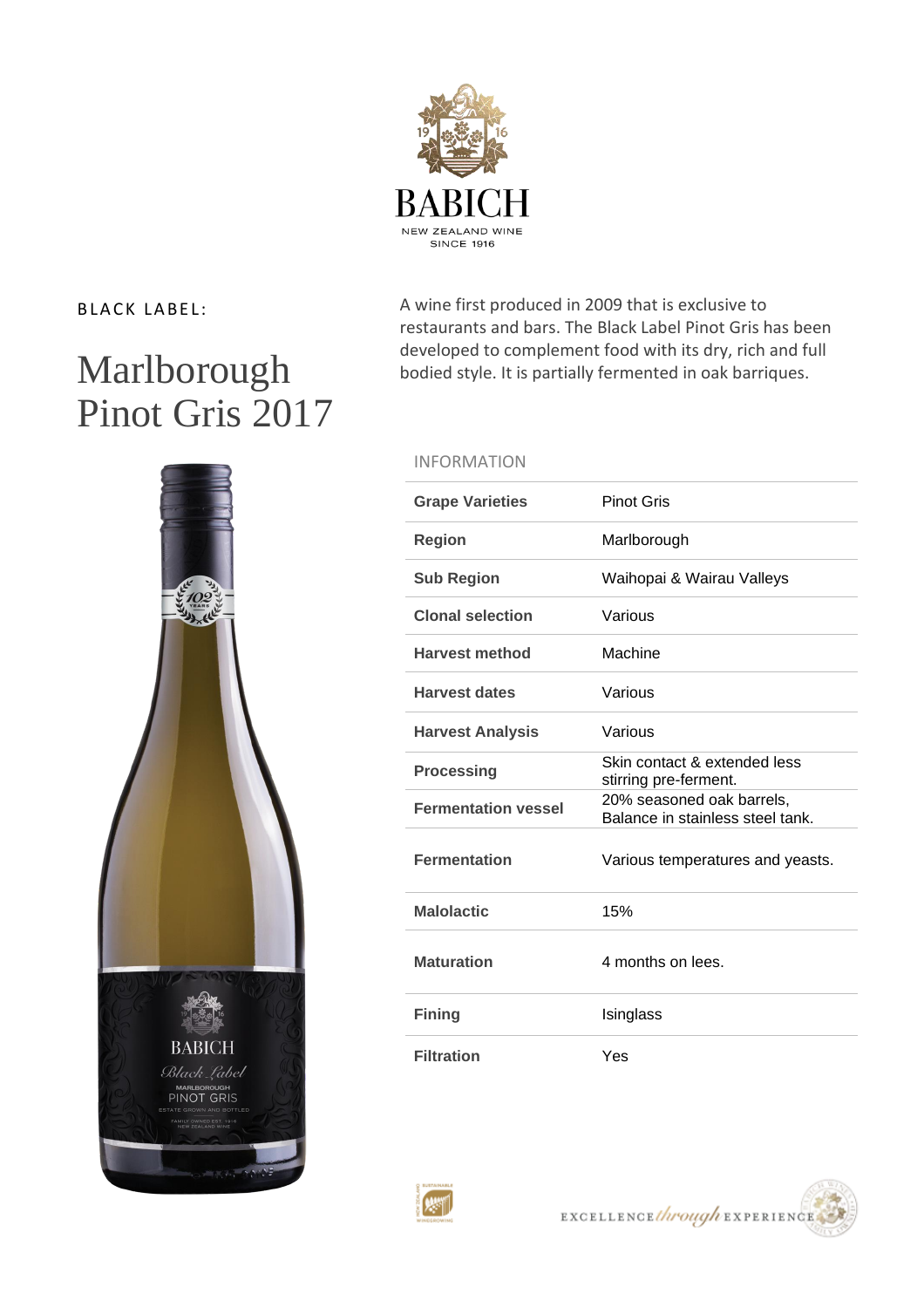

# Marlborough Pinot Gris 2017

**BABICH** Black Label MARLBOROUGH

BLACK LABEL: A wine first produced in 2009 that is exclusive to restaurants and bars. The Black Label Pinot Gris has been developed to complement food with its dry, rich and full bodied style. It is partially fermented in oak barriques.

# INFORMATION

| <b>Grape Varieties</b>     | <b>Pinot Gris</b>                                             |
|----------------------------|---------------------------------------------------------------|
| <b>Region</b>              | Marlborough                                                   |
| <b>Sub Region</b>          | Waihopai & Wairau Valleys                                     |
| <b>Clonal selection</b>    | Various                                                       |
| <b>Harvest method</b>      | Machine                                                       |
| <b>Harvest dates</b>       | Various                                                       |
| <b>Harvest Analysis</b>    | Various                                                       |
| <b>Processing</b>          | Skin contact & extended less<br>stirring pre-ferment.         |
| <b>Fermentation vessel</b> | 20% seasoned oak barrels,<br>Balance in stainless steel tank. |
| <b>Fermentation</b>        | Various temperatures and yeasts.                              |
| <b>Malolactic</b>          | 15%                                                           |
| <b>Maturation</b>          | 4 months on lees.                                             |
| <b>Fining</b>              | Isinglass                                                     |
| <b>Filtration</b>          | Yes                                                           |